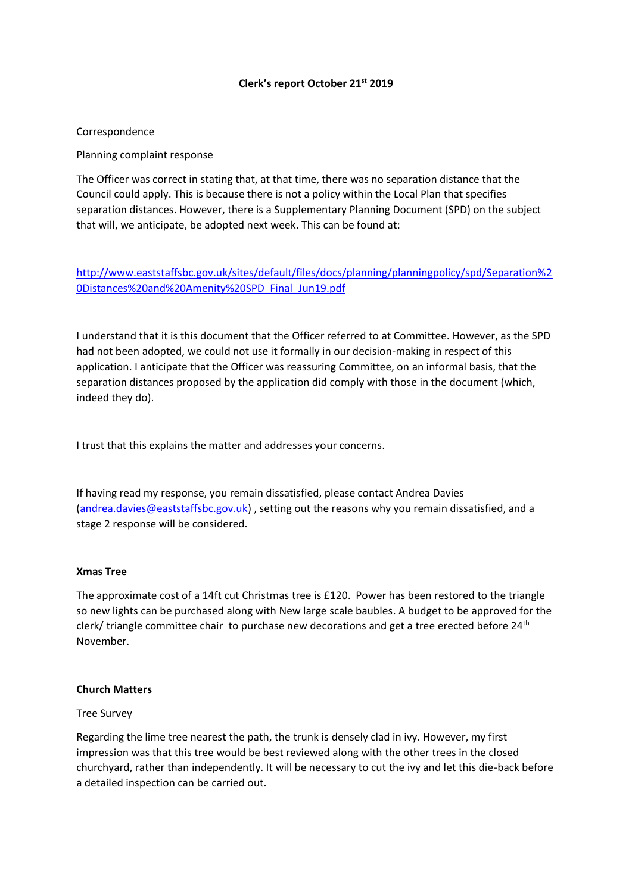### **Clerk's report October 21st 2019**

### Correspondence

Planning complaint response

The Officer was correct in stating that, at that time, there was no separation distance that the Council could apply. This is because there is not a policy within the Local Plan that specifies separation distances. However, there is a Supplementary Planning Document (SPD) on the subject that will, we anticipate, be adopted next week. This can be found at:

[http://www.eaststaffsbc.gov.uk/sites/default/files/docs/planning/planningpolicy/spd/Separation%2](http://www.eaststaffsbc.gov.uk/sites/default/files/docs/planning/planningpolicy/spd/Separation%20Distances%20and%20Amenity%20SPD_Final_Jun19.pdf) [0Distances%20and%20Amenity%20SPD\\_Final\\_Jun19.pdf](http://www.eaststaffsbc.gov.uk/sites/default/files/docs/planning/planningpolicy/spd/Separation%20Distances%20and%20Amenity%20SPD_Final_Jun19.pdf)

I understand that it is this document that the Officer referred to at Committee. However, as the SPD had not been adopted, we could not use it formally in our decision-making in respect of this application. I anticipate that the Officer was reassuring Committee, on an informal basis, that the separation distances proposed by the application did comply with those in the document (which, indeed they do).

I trust that this explains the matter and addresses your concerns.

If having read my response, you remain dissatisfied, please contact Andrea Davies [\(andrea.davies@eaststaffsbc.gov.uk\)](mailto:andrea.davies@eaststaffsbc.gov.uk) , setting out the reasons why you remain dissatisfied, and a stage 2 response will be considered.

### **Xmas Tree**

The approximate cost of a 14ft cut Christmas tree is £120. Power has been restored to the triangle so new lights can be purchased along with New large scale baubles. A budget to be approved for the clerk/ triangle committee chair to purchase new decorations and get a tree erected before 24<sup>th</sup> November.

#### **Church Matters**

#### Tree Survey

Regarding the lime tree nearest the path, the trunk is densely clad in ivy. However, my first impression was that this tree would be best reviewed along with the other trees in the closed churchyard, rather than independently. It will be necessary to cut the ivy and let this die-back before a detailed inspection can be carried out.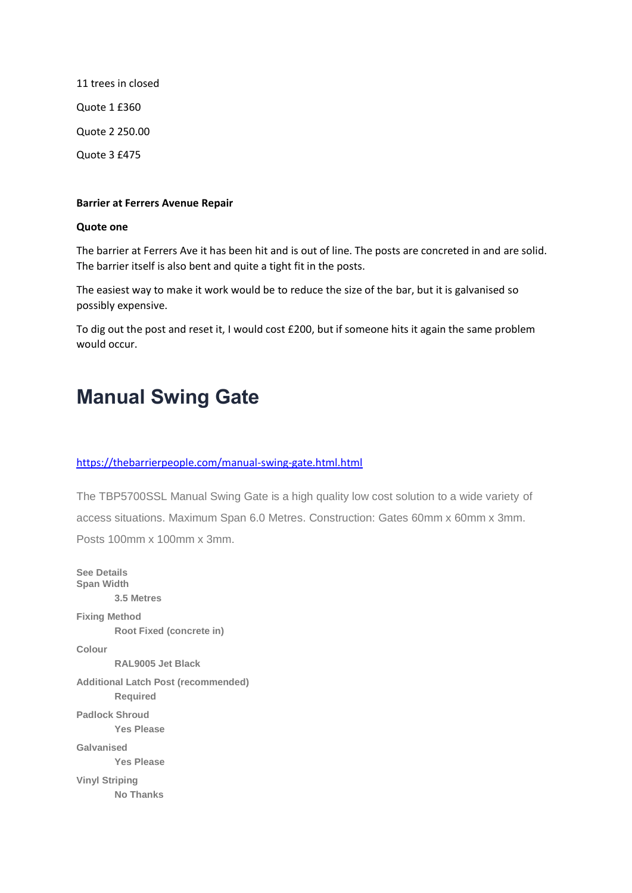11 trees in closed Quote 1 £360 Quote 2 250.00 Quote 3 £475

### **Barrier at Ferrers Avenue Repair**

### **Quote one**

The barrier at Ferrers Ave it has been hit and is out of line. The posts are concreted in and are solid. The barrier itself is also bent and quite a tight fit in the posts.

The easiest way to make it work would be to reduce the size of the bar, but it is galvanised so possibly expensive.

To dig out the post and reset it, I would cost £200, but if someone hits it again the same problem would occur.

# **Manual Swing Gate**

### <https://thebarrierpeople.com/manual-swing-gate.html.html>

The TBP5700SSL Manual Swing Gate is a high quality low cost solution to a wide variety of access situations. Maximum Span 6.0 Metres. Construction: Gates 60mm x 60mm x 3mm. Posts 100mm x 100mm x 3mm.

**See Details Span Width 3.5 Metres Fixing Method Root Fixed (concrete in) Colour RAL9005 Jet Black Additional Latch Post (recommended) Required Padlock Shroud Yes Please Galvanised Yes Please Vinyl Striping No Thanks**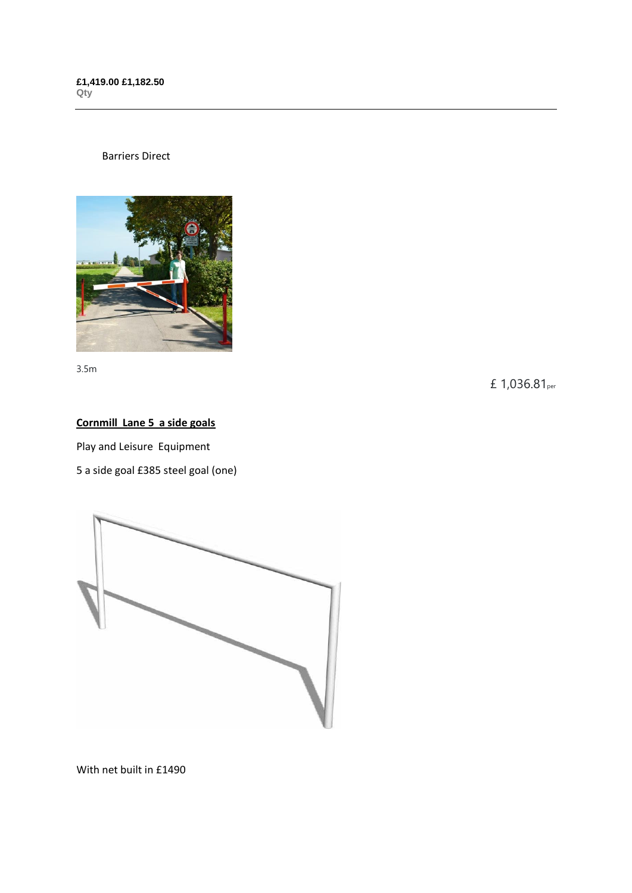### Barriers Direct



3.5m

£ 1,036.81per

### **Cornmill Lane 5 a side goals**

Play and Leisure Equipment

5 a side goal £385 steel goal (one)



With net built in £1490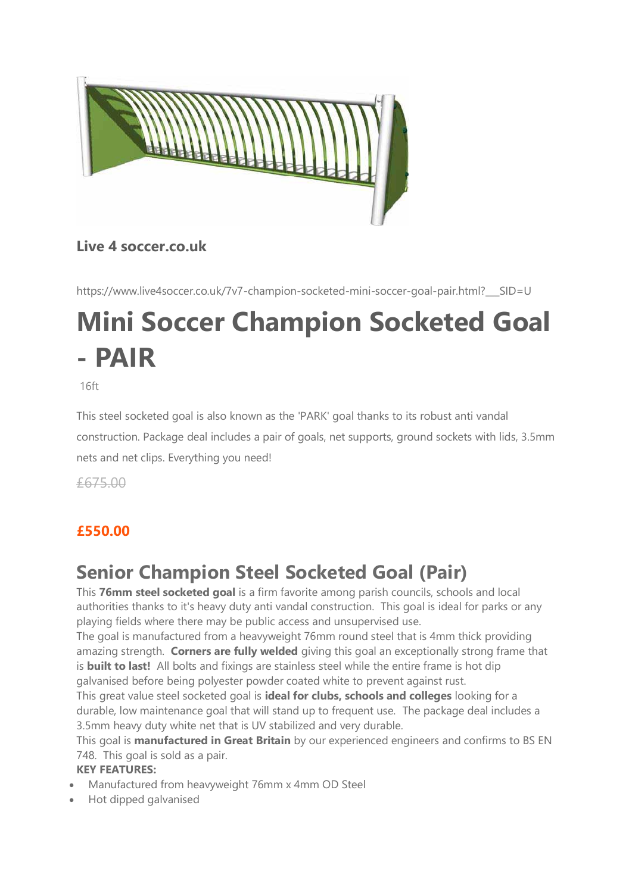

### **Live 4 soccer.co.uk**

[https://www.live4soccer.co.uk/7v7-champion-socketed-mini-soccer-goal-pair.html?\\_\\_\\_SID=U](https://www.live4soccer.co.uk/7v7-champion-socketed-mini-soccer-goal-pair.html?___SID=U)

# **Mini Soccer Champion Socketed Goal - PAIR**

16ft

This steel socketed goal is also known as the 'PARK' goal thanks to its robust anti vandal construction. Package deal includes a pair of goals, net supports, ground sockets with lids, 3.5mm nets and net clips. Everything you need!

£675.00

## **£550.00**

# **Senior Champion Steel Socketed Goal (Pair)**

This **76mm steel socketed goal** is a firm favorite among parish councils, schools and local authorities thanks to it's heavy duty anti vandal construction. This goal is ideal for parks or any playing fields where there may be public access and unsupervised use.

The goal is manufactured from a heavyweight 76mm round steel that is 4mm thick providing amazing strength. **Corners are fully welded** giving this goal an exceptionally strong frame that is **built to last!** All bolts and fixings are stainless steel while the entire frame is hot dip galvanised before being polyester powder coated white to prevent against rust.

This great value steel socketed goal is **ideal for clubs, schools and colleges** looking for a durable, low maintenance goal that will stand up to frequent use.The package deal includes a 3.5mm heavy duty white net that is UV stabilized and very durable.

This goal is **manufactured in Great Britain** by our experienced engineers and confirms to BS EN 748. This goal is sold as a pair.

### **KEY FEATURES:**

- Manufactured from heavyweight 76mm x 4mm OD Steel
- Hot dipped galvanised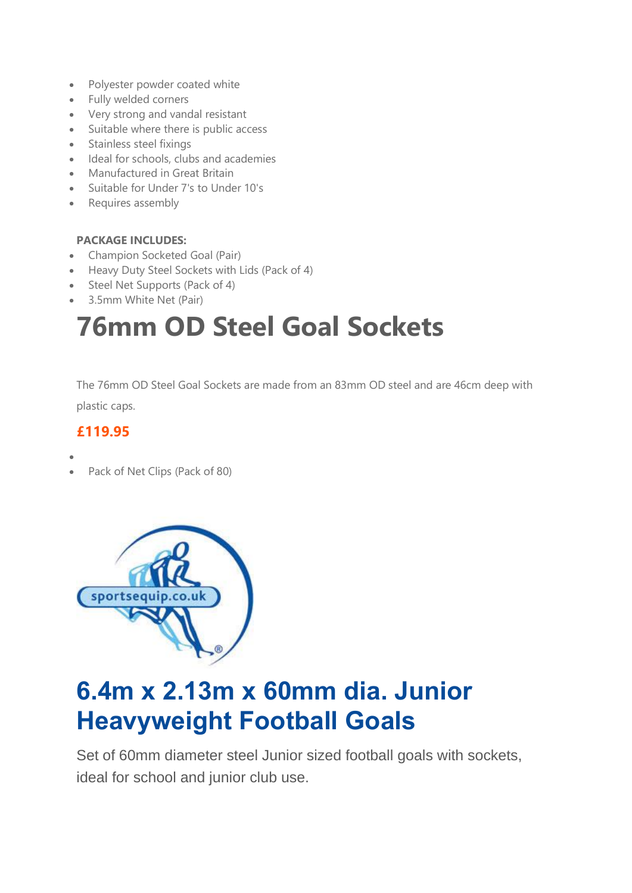- Polyester powder coated white
- Fully welded corners
- Very strong and vandal resistant
- Suitable where there is public access
- Stainless steel fixings
- Ideal for schools, clubs and academies
- Manufactured in Great Britain
- Suitable for Under 7's to Under 10's
- Requires assembly

### **PACKAGE INCLUDES:**

- Champion Socketed Goal (Pair)
- Heavy Duty Steel Sockets with Lids (Pack of 4)
- Steel Net Supports (Pack of 4)
- 3.5mm White Net (Pair)

# **76mm OD Steel Goal Sockets**

The 76mm OD Steel Goal Sockets are made from an 83mm OD steel and are 46cm deep with plastic caps.

### **£119.95**

- •
- Pack of Net Clips (Pack of 80)



# **6.4m x 2.13m x 60mm dia. Junior Heavyweight Football Goals**

Set of 60mm diameter steel Junior sized football goals with sockets, ideal for school and junior club use.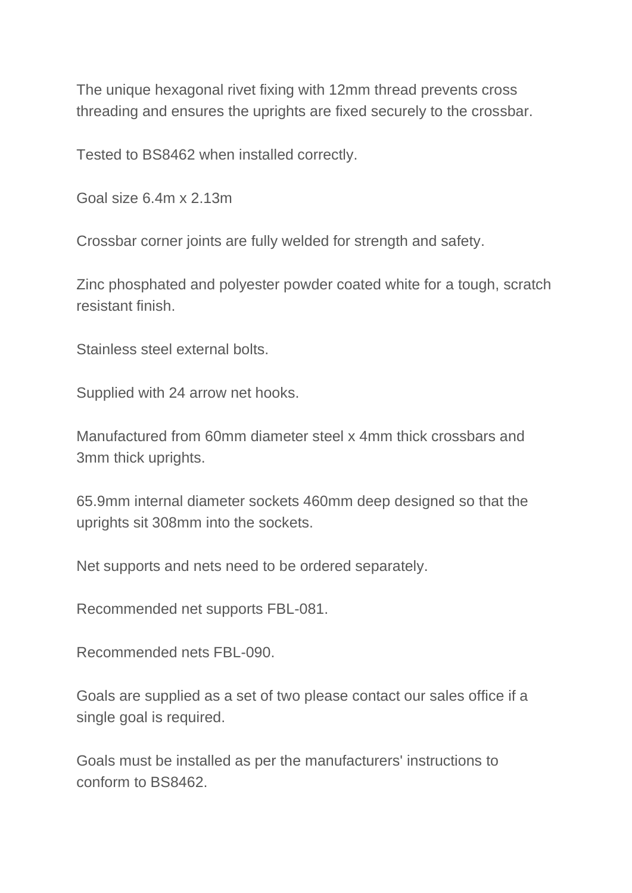The unique hexagonal rivet fixing with 12mm thread prevents cross threading and ensures the uprights are fixed securely to the crossbar.

Tested to BS8462 when installed correctly.

Goal size 6.4m x 2.13m

Crossbar corner joints are fully welded for strength and safety.

Zinc phosphated and polyester powder coated white for a tough, scratch resistant finish.

Stainless steel external bolts.

Supplied with 24 arrow net hooks.

Manufactured from 60mm diameter steel x 4mm thick crossbars and 3mm thick uprights.

65.9mm internal diameter sockets 460mm deep designed so that the uprights sit 308mm into the sockets.

Net supports and nets need to be ordered separately.

Recommended net supports FBL-081.

Recommended nets FBL-090.

Goals are supplied as a set of two please contact our sales office if a single goal is required.

Goals must be installed as per the manufacturers' instructions to conform to BS8462.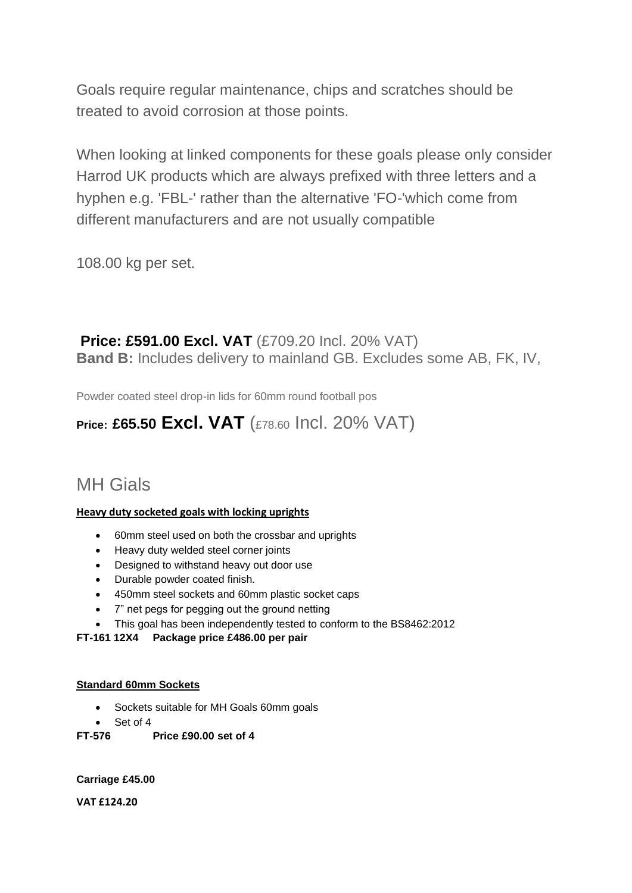Goals require regular maintenance, chips and scratches should be treated to avoid corrosion at those points.

When looking at linked components for these goals please only consider Harrod UK products which are always prefixed with three letters and a hyphen e.g. 'FBL-' rather than the alternative 'FO-'which come from different manufacturers and are not usually compatible

108.00 kg per set.

### **Price: £591.00 Excl. VAT** (£709.20 Incl. 20% VAT) **Band B:** Includes delivery to mainland GB. Excludes some AB, FK, IV,

Powder coated steel drop-in lids for 60mm round football pos

# **Price: £65.50 Excl. VAT** (£78.60 Incl. 20% VAT)

# MH Gials

### **Heavy duty socketed goals with locking uprights**

- 60mm steel used on both the crossbar and uprights
- Heavy duty welded steel corner joints
- Designed to withstand heavy out door use
- Durable powder coated finish.
- 450mm steel sockets and 60mm plastic socket caps
- 7" net pegs for pegging out the ground netting
- This goal has been independently tested to conform to the BS8462:2012

### **FT-161 12X4 Package price £486.00 per pair**

### **Standard 60mm Sockets**

- Sockets suitable for MH Goals 60mm goals
- Set of 4
- **FT-576 Price £90.00 set of 4**

**Carriage £45.00**

**VAT £124.20**